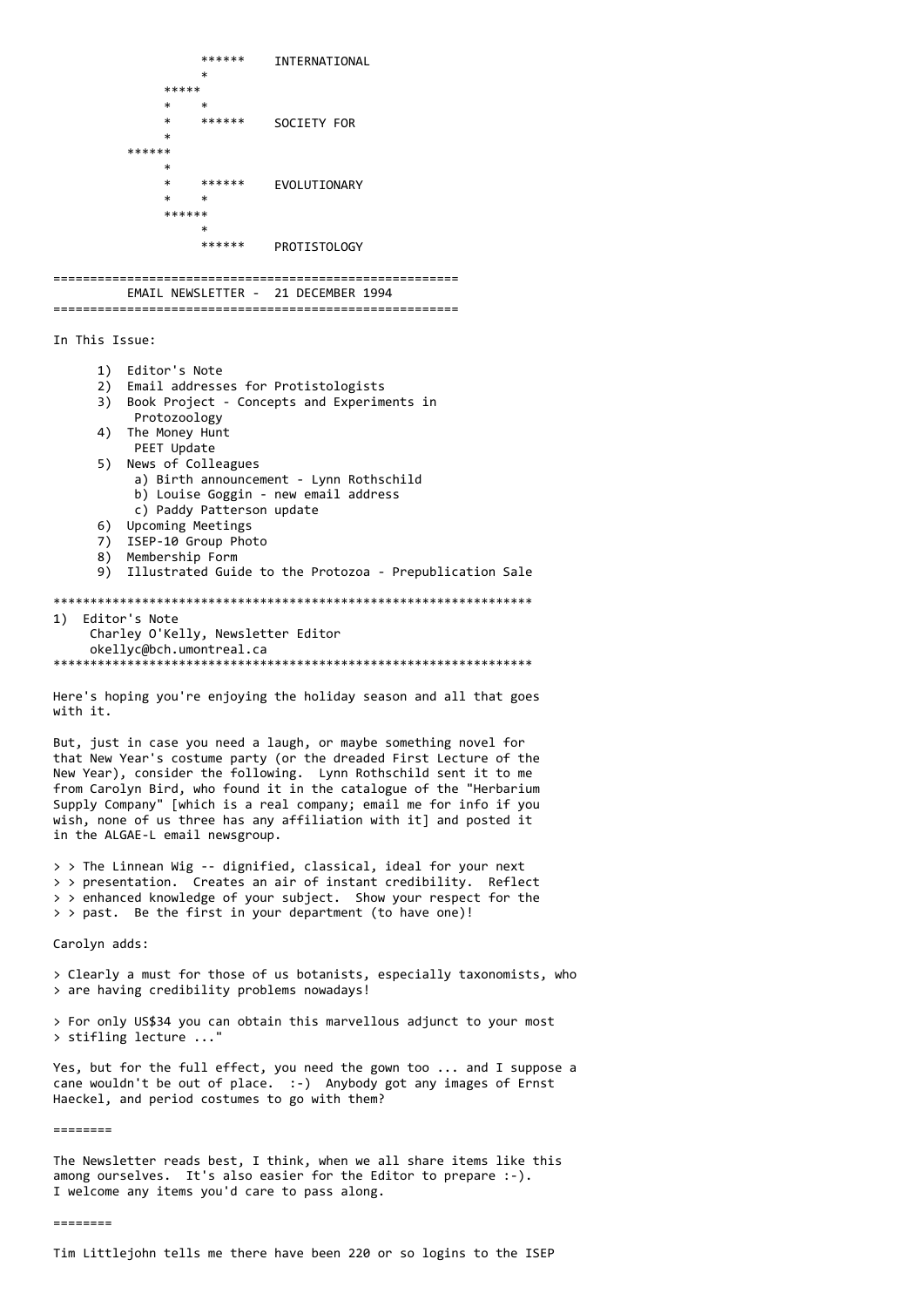```
******
                         INTERNATIONAL
            *****
                ******
                         SOCIETY FOR
        ******
            \ast\ast******
                         FVOLUTTONARY
            \ast\astx
                ******
                         PROTISTOLOGY
EMAIL NEWSLETTER - 21 DECEMBER 1994
In This Issue:
    1) Editor's Note
     2) Email addresses for Protistologists
     3) Book Project - Concepts and Experiments in
         Protozoology
    4) The Money Hunt
        PEET Update
    5) News of Colleagues
         a) Birth announcement - Lynn Rothschild
         b) Louise Goggin - new email address
         c) Paddy Patterson update
     6) Upcoming Meetings
    7) ISEP-10 Group Photo<br>8) Membership Form
    9) Illustrated Guide to the Protozoa - Prepublication Sale
1) Editor's Note
    Charley O'Kelly, Newsletter Editor
    okellyc@bch.umontreal.ca
Here's hoping you're enjoying the holiday season and all that goes
with it.
But, just in case you need a laugh, or maybe something novel for
that New Year's costume party (or the dreaded First Lecture of the
New Year), consider the following. Lynn Rothschild sent it to me
from Carolyn Bird, who found it in the catalogue of the "Herbarium
Supply Company" [which is a real company; email me for info if you
wish, none of us three has any affiliation with it] and posted it
```
> > The Linnean Wig -- dignified, classical, ideal for your next > > presentation. Creates an air of instant credibility. Reflect > > enhanced knowledge of your subject. Show your respect for the > > past. Be the first in your department (to have one)!

Carolyn adds:

in the ALGAE-L email newsgroup.

> Clearly a must for those of us botanists, especially taxonomists, who > are having credibility problems nowadays!

> For only US\$34 you can obtain this marvellous adjunct to your most > stifling lecture ..."

Yes, but for the full effect, you need the gown too ... and I suppose a cane wouldn't be out of place. :-) Anybody got any images of Ernst Haeckel, and period costumes to go with them?

========

The Newsletter reads best, I think, when we all share items like this among ourselves. It's also easier for the Editor to prepare :-). I welcome any items you'd care to pass along.

---------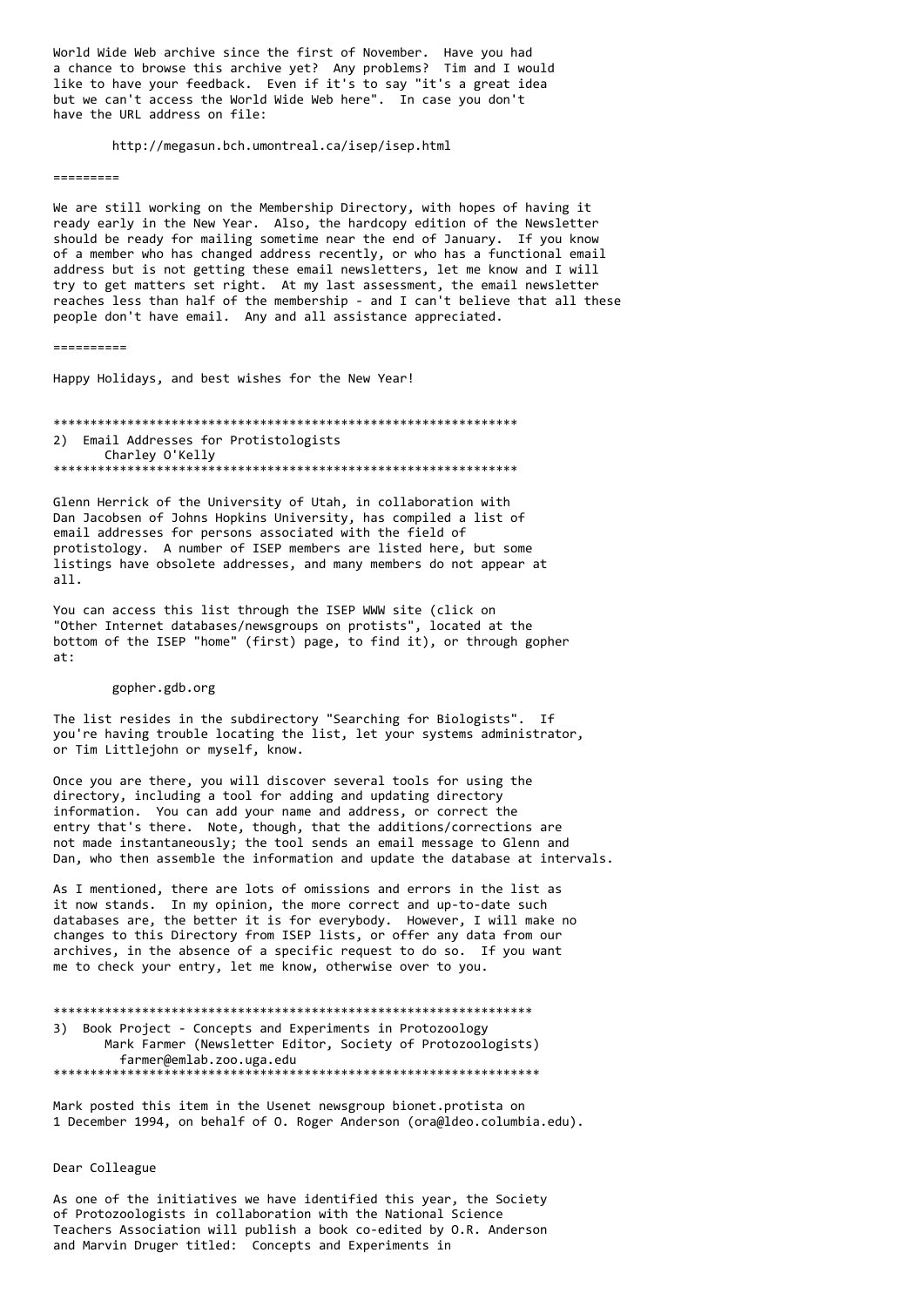World Wide Web archive since the first of November. Have you had a chance to browse this archive yet? Any problems? Tim and I would like to have your feedback. Even if it's to say "it's a great idea but we can't access the World Wide Web here". In case you don't have the URL address on file:

http://megasun.bch.umontreal.ca/isep/isep.html

=========

We are still working on the Membership Directory, with hopes of having it ready early in the New Year. Also, the hardcopy edition of the Newsletter should be ready for mailing sometime near the end of January. If you know of a member who has changed address recently, or who has a functional email address but is not getting these email newsletters, let me know and I will try to get matters set right. At my last assessment, the email newsletter reaches less than half of the membership - and I can't believe that all these people don't have email. Any and all assistance appreciated.

==========

Happy Holidays, and best wishes for the New Year!

\*\*\*\*\*\*\*\*\*\*\*\*\*\*\*\*\*\*\*\*\*\*\*\*\*\*\*\*\*\*\*\*\*\*\*\*\*\*\*\*\*\*\*\*\*\*\*\*\*\*\*\*\*\*\*\*\*\*\*\*\*\*\* 2) Email Addresses for Protistologists Charley O'Kelly \*\*\*\*\*\*\*\*\*\*\*\*\*\*\*\*\*\*\*\*\*\*\*\*\*\*\*\*\*\*\*\*\*\*\*\*\*\*\*\*\*\*\*\*\*\*\*\*\*\*\*\*\*\*\*\*\*\*\*\*\*\*\*

Glenn Herrick of the University of Utah, in collaboration with Dan Jacobsen of Johns Hopkins University, has compiled a list of email addresses for persons associated with the field of protistology. A number of ISEP members are listed here, but some listings have obsolete addresses, and many members do not appear at all.

You can access this list through the ISEP WWW site (click on "Other Internet databases/newsgroups on protists", located at the bottom of the ISEP "home" (first) page, to find it), or through gopher at:

# gopher.gdb.org

The list resides in the subdirectory "Searching for Biologists". If you're having trouble locating the list, let your systems administrator, or Tim Littlejohn or myself, know.

Once you are there, you will discover several tools for using the directory, including a tool for adding and updating directory information. You can add your name and address, or correct the entry that's there. Note, though, that the additions/corrections are not made instantaneously; the tool sends an email message to Glenn and Dan, who then assemble the information and update the database at intervals.

As I mentioned, there are lots of omissions and errors in the list as it now stands. In my opinion, the more correct and up-to-date such databases are, the better it is for everybody. However, I will make no changes to this Directory from ISEP lists, or offer any data from our archives, in the absence of a specific request to do so. If you want me to check your entry, let me know, otherwise over to you.

\*\*\*\*\*\*\*\*\*\*\*\*\*\*\*\*\*\*\*\*\*\*\*\*\*\*\*\*\*\*\*\*\*\*\*\*\*\*\*\*\*\*\*\*\*\*\*\*\*\*\*\*\*\*\*\*\*\*\*\*\*\*\*\*\* 3) Book Project - Concepts and Experiments in Protozoology Mark Farmer (Newsletter Editor, Society of Protozoologists) farmer@emlab.zoo.uga.edu \*\*\*\*\*\*\*\*\*\*\*\*\*\*\*\*\*\*\*\*\*\*\*\*\*\*\*\*\*\*\*\*\*\*\*\*\*\*\*\*\*\*\*\*\*\*\*\*\*\*\*\*\*\*\*\*\*\*\*\*\*\*\*\*\*\*

Mark posted this item in the Usenet newsgroup bionet.protista on 1 December 1994, on behalf of O. Roger Anderson (ora@ldeo.columbia.edu).

# Dear Colleague

As one of the initiatives we have identified this year, the Society of Protozoologists in collaboration with the National Science Teachers Association will publish a book co-edited by O.R. Anderson and Marvin Druger titled: Concepts and Experiments in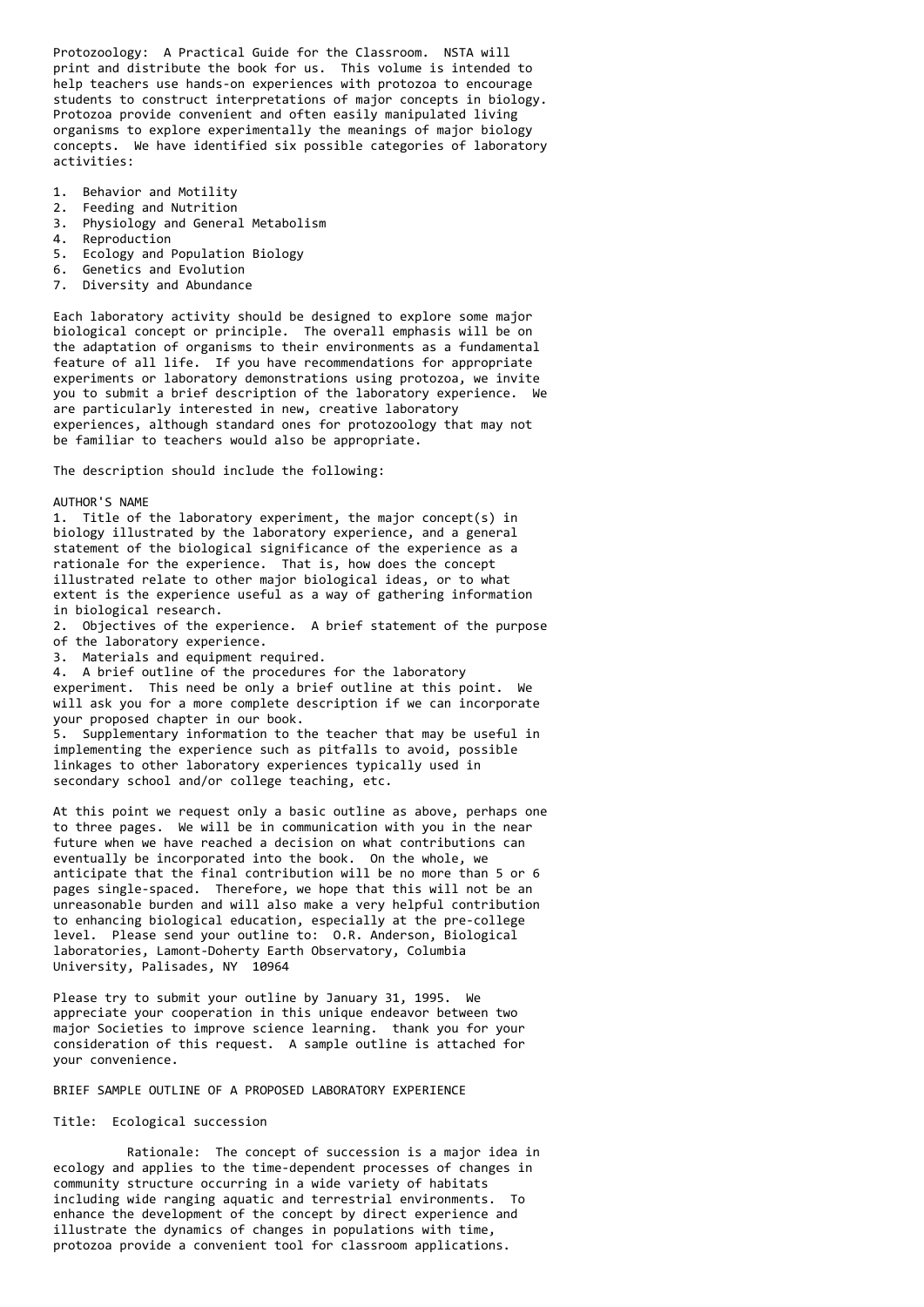Protozoology: A Practical Guide for the Classroom. NSTA will print and distribute the book for us. This volume is intended to help teachers use hands-on experiences with protozoa to encourage students to construct interpretations of major concepts in biology. Protozoa provide convenient and often easily manipulated living organisms to explore experimentally the meanings of major biology concepts. We have identified six possible categories of laboratory activities:

- 1. Behavior and Motility
- 2. Feeding and Nutrition
- 3. Physiology and General Metabolism
- 4. Reproduction
- 5. Ecology and Population Biology
- 6. Genetics and Evolution
- 7. Diversity and Abundance

Each laboratory activity should be designed to explore some major biological concept or principle. The overall emphasis will be on the adaptation of organisms to their environments as a fundamental feature of all life. If you have recommendations for appropriate experiments or laboratory demonstrations using protozoa, we invite you to submit a brief description of the laboratory experience. We are particularly interested in new, creative laboratory experiences, although standard ones for protozoology that may not be familiar to teachers would also be appropriate.

The description should include the following:

AUTHOR'S NAME

1. Title of the laboratory experiment, the major concept(s) in biology illustrated by the laboratory experience, and a general statement of the biological significance of the experience as a rationale for the experience. That is, how does the concept illustrated relate to other major biological ideas, or to what extent is the experience useful as a way of gathering information in biological research.

2. Objectives of the experience. A brief statement of the purpose of the laboratory experience.

3. Materials and equipment required.

4. A brief outline of the procedures for the laboratory experiment. This need be only a brief outline at this point. We will ask you for a more complete description if we can incorporate your proposed chapter in our book.

5. Supplementary information to the teacher that may be useful in implementing the experience such as pitfalls to avoid, possible linkages to other laboratory experiences typically used in secondary school and/or college teaching, etc.

At this point we request only a basic outline as above, perhaps one to three pages. We will be in communication with you in the near future when we have reached a decision on what contributions can eventually be incorporated into the book. On the whole, we anticipate that the final contribution will be no more than 5 or 6 pages single-spaced. Therefore, we hope that this will not be an unreasonable burden and will also make a very helpful contribution to enhancing biological education, especially at the pre-college level. Please send your outline to: O.R. Anderson, Biological laboratories, Lamont-Doherty Earth Observatory, Columbia University, Palisades, NY 10964

Please try to submit your outline by January 31, 1995. We appreciate your cooperation in this unique endeavor between two major Societies to improve science learning. thank you for your consideration of this request. A sample outline is attached for your convenience.

BRIEF SAMPLE OUTLINE OF A PROPOSED LABORATORY EXPERIENCE

Title: Ecological succession

 Rationale: The concept of succession is a major idea in ecology and applies to the time-dependent processes of changes in community structure occurring in a wide variety of habitats including wide ranging aquatic and terrestrial environments. To enhance the development of the concept by direct experience and illustrate the dynamics of changes in populations with time, protozoa provide a convenient tool for classroom applications.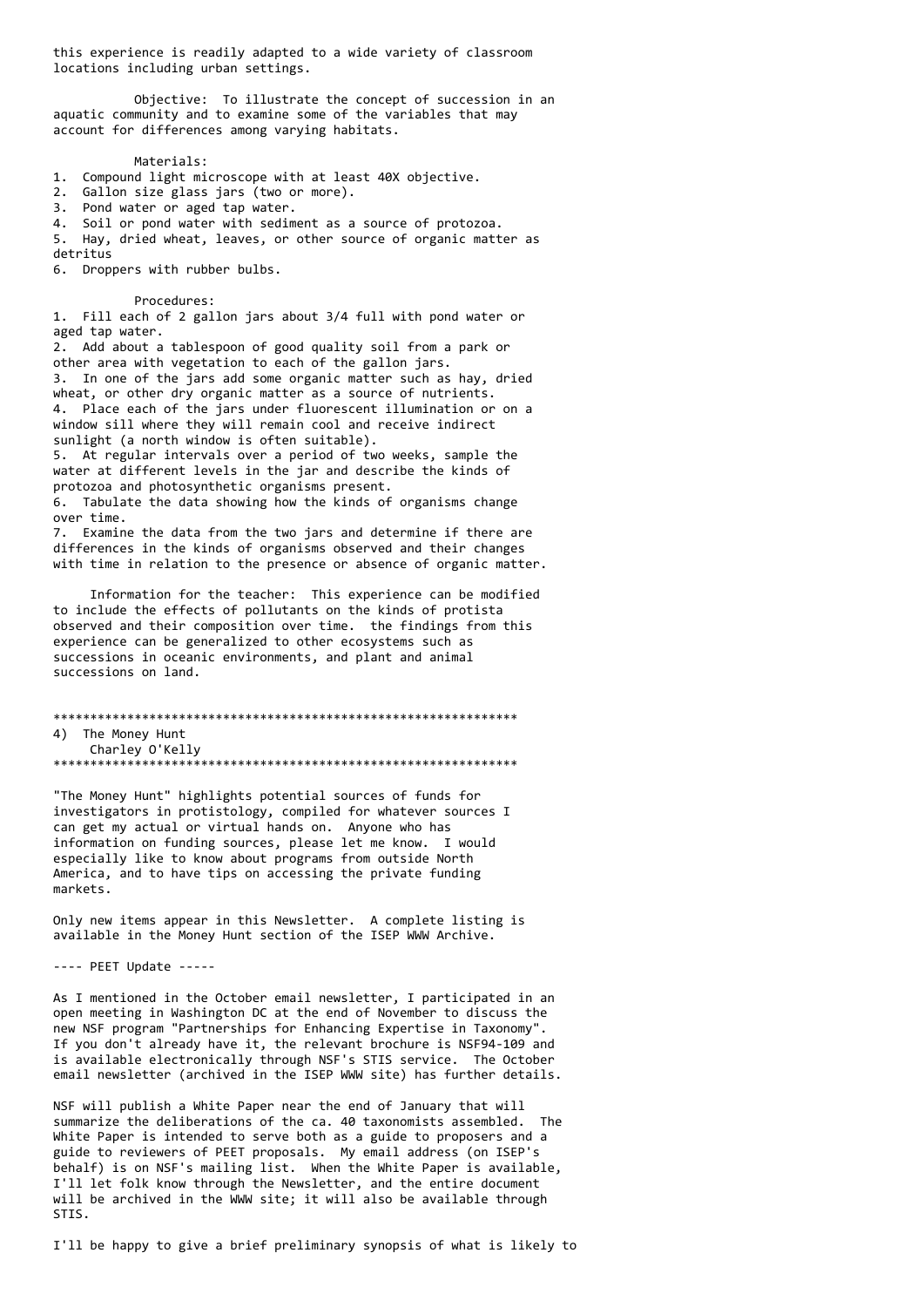this experience is readily adapted to a wide variety of classroom locations including urban settings.

Objective: To illustrate the concept of succession in an aquatic community and to examine some of the variables that may account for differences among varying habitats.

# Materials:

1. Compound light microscope with at least 40X objective.

2. Gallon size glass jars (two or more).<br>3. Pond water or aged tap water.

4. Soil or pond water with sediment as a source of protozoa.

5. Hay, dried wheat, leaves, or other source of organic matter as detritus

6. Droppers with rubber bulbs.

# Procedures:

1. Fill each of 2 gallon jars about 3/4 full with pond water or aged tap water.

2. Add about a tablespoon of good quality soil from a park or other area with vegetation to each of the gallon jars. 3. In one of the jars add some organic matter such as hay, dried wheat, or other dry organic matter as a source of nutrients. 4. Place each of the jars under fluorescent illumination or on a window sill where they will remain cool and receive indirect sunlight (a north window is often suitable).

5. At regular intervals over a period of two weeks, sample the water at different levels in the jar and describe the kinds of protozoa and photosynthetic organisms present. 6. Tabulate the data showing how the kinds of organisms change over time.

7. Examine the data from the two jars and determine if there are differences in the kinds of organisms observed and their changes with time in relation to the presence or absence of organic matter.

Information for the teacher: This experience can be modified to include the effects of pollutants on the kinds of protista observed and their composition over time. the findings from this experience can be generalized to other ecosystems such as successions in oceanic environments, and plant and animal successions on land.

4) The Money Hunt Charley O'Kelly 

"The Money Hunt" highlights potential sources of funds for investigators in protistology, compiled for whatever sources I can get my actual or virtual hands on. Anyone who has information on funding sources, please let me know. I would especially like to know about programs from outside North America, and to have tips on accessing the private funding markets.

Only new items appear in this Newsletter. A complete listing is available in the Money Hunt section of the ISEP WWW Archive.

---- PEET Update -----

As I mentioned in the October email newsletter, I participated in an open meeting in Washington DC at the end of November to discuss the new NSF program "Partnerships for Enhancing Expertise in Taxonomy". If you don't already have it, the relevant brochure is NSF94-109 and is available electronically through NSF's STIS service. The October email newsletter (archived in the ISEP WWW site) has further details.

NSF will publish a White Paper near the end of January that will summarize the deliberations of the ca. 40 taxonomists assembled. مTh White Paper is intended to serve both as a guide to proposers and a guide to reviewers of PEET proposals. My email address (on ISEP's behalf) is on NSF's mailing list. When the White Paper is available, I'll let folk know through the Newsletter, and the entire document will be archived in the WWW site; it will also be available through STIS.

I'll be happy to give a brief preliminary synopsis of what is likely to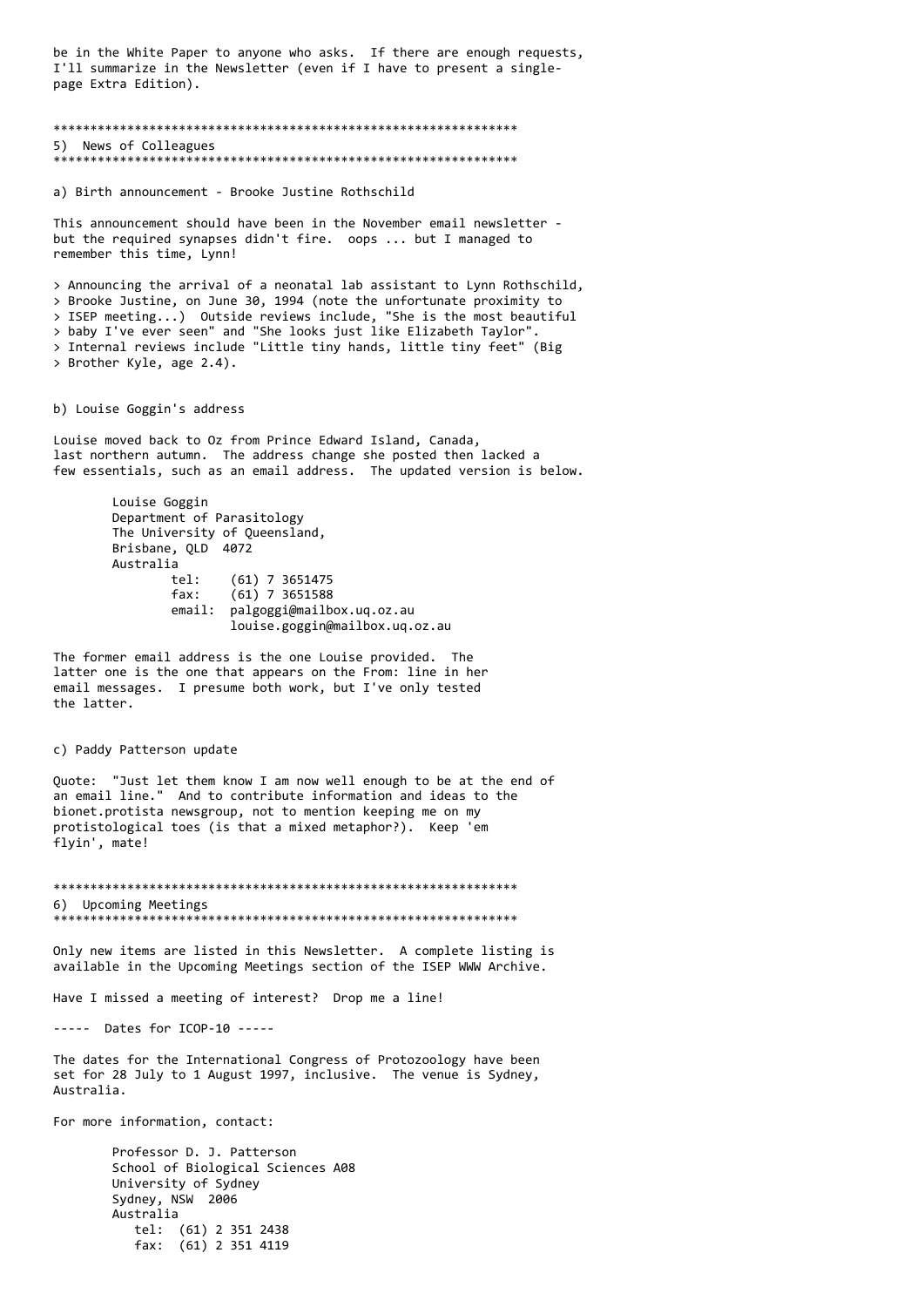be in the White Paper to anyone who asks. If there are enough requests, I'll summarize in the Newsletter (even if I have to present a singlepage Extra Edition).

### \*\*\*\*\*\*\*\*\*\*\*\*\*\*\*\*\*\*\*\*\*\*\*\*\*\*\*\*\*\*\*\*\*\*\*\*\*\*\*\*\*\*\*\*\*\*\*\*\*\*\*\*\*\*\*\*\*\*\*\*\*\*\* 5) News of Colleagues \*\*\*\*\*\*\*\*\*\*\*\*\*\*\*\*\*\*\*\*\*\*\*\*\*\*\*\*\*\*\*\*\*\*\*\*\*\*\*\*\*\*\*\*\*\*\*\*\*\*\*\*\*\*\*\*\*\*\*\*\*\*\*

a) Birth announcement - Brooke Justine Rothschild

This announcement should have been in the November email newsletter but the required synapses didn't fire. oops ... but I managed to remember this time, Lynn!

> Announcing the arrival of a neonatal lab assistant to Lynn Rothschild, > Brooke Justine, on June 30, 1994 (note the unfortunate proximity to > ISEP meeting...) Outside reviews include, "She is the most beautiful > baby I've ever seen" and "She looks just like Elizabeth Taylor". > Internal reviews include "Little tiny hands, little tiny feet" (Big > Brother Kyle, age 2.4).

b) Louise Goggin's address

Louise moved back to Oz from Prince Edward Island, Canada, last northern autumn. The address change she posted then lacked a few essentials, such as an email address. The updated version is below.

> Louise Goggin Department of Parasitology The University of Queensland, Brisbane, QLD 4072 Australia tel: (61) 7 3651475 fax: (61) 7 3651588 email: palgoggi@mailbox.uq.oz.au louise.goggin@mailbox.uq.oz.au

The former email address is the one Louise provided. The latter one is the one that appears on the From: line in her email messages. I presume both work, but I've only tested the latter.

### c) Paddy Patterson update

Quote: "Just let them know I am now well enough to be at the end of an email line." And to contribute information and ideas to the bionet.protista newsgroup, not to mention keeping me on my protistological toes (is that a mixed metaphor?). Keep 'em flyin', mate!

\*\*\*\*\*\*\*\*\*\*\*\*\*\*\*\*\*\*\*\*\*\*\*\*\*\*\*\*\*\*\*\*\*\*\*\*\*\*\*\*\*\*\*\*\*\*\*\*\*\*\*\*\*\*\*\*\*\*\*\*\*\*\* 6) Upcoming Meetings \*\*\*\*\*\*\*\*\*\*\*\*\*\*\*\*\*\*\*\*\*\*\*\*\*\*\*\*\*\*\*\*\*\*\*\*\*\*\*\*\*\*\*\*\*\*\*\*\*\*\*\*\*\*\*\*\*\*\*\*\*\*\*

Only new items are listed in this Newsletter. A complete listing is available in the Upcoming Meetings section of the ISEP WWW Archive.

Have I missed a meeting of interest? Drop me a line!

----- Dates for ICOP-10 -----

The dates for the International Congress of Protozoology have been set for 28 July to 1 August 1997, inclusive. The venue is Sydney, Australia.

For more information, contact:

Professor D. J. Patterson School of Biological Sciences A08 University of Sydney Sydney, NSW 2006 Australia tel: (61) 2 351 2438 fax: (61) 2 351 4119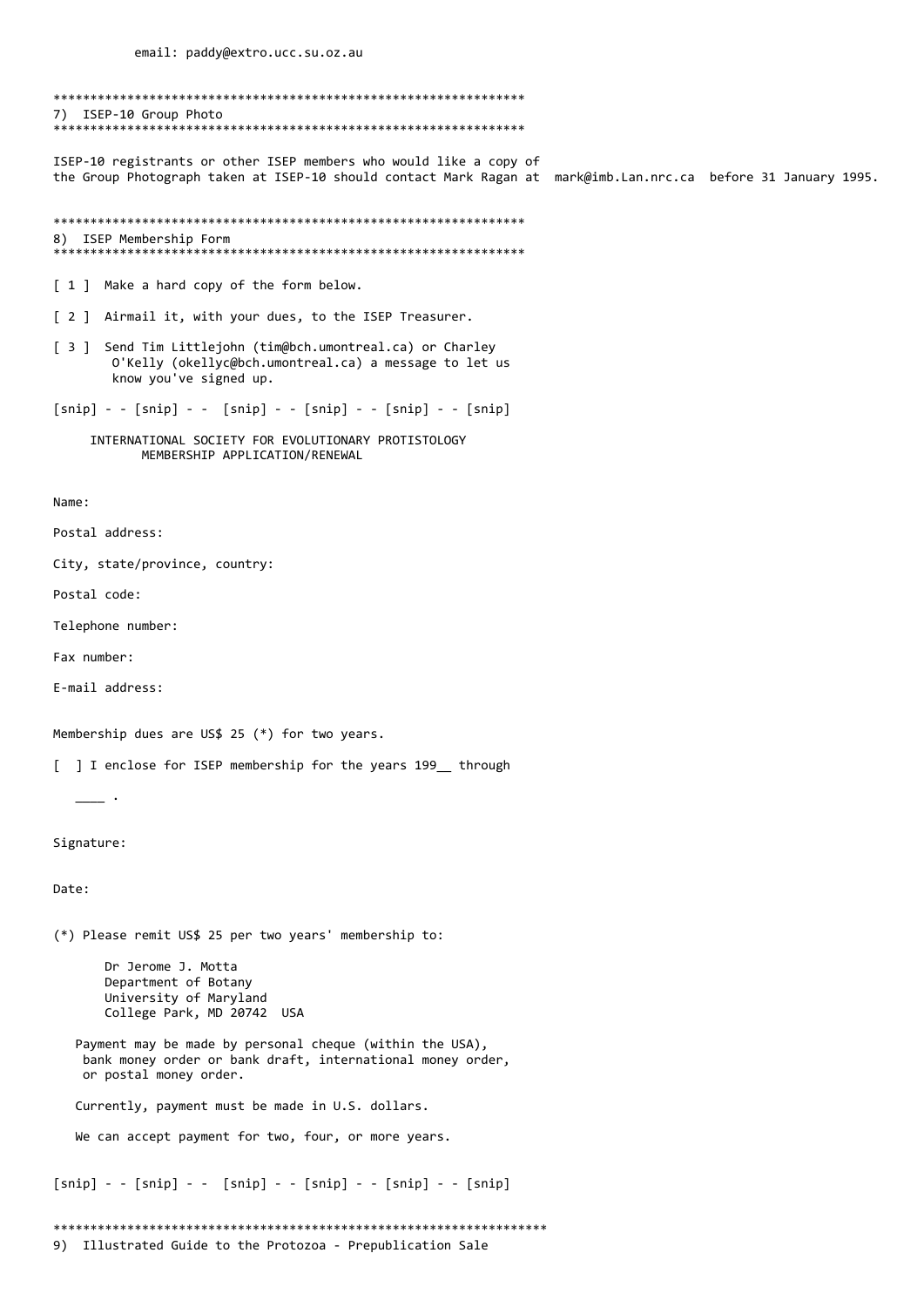7) ISEP-10 Group Photo 

ISEP-10 registrants or other ISEP members who would like a copy of the Group Photograph taken at ISEP-10 should contact Mark Ragan at mark@imb.Lan.nrc.ca before 31 January 1995.

```
8) ISEP Membership Form
```
[ 1 ] Make a hard copy of the form below.

[ 2 ] Airmail it, with your dues, to the ISEP Treasurer.

[ 3 ] Send Tim Littlejohn (tim@bch.umontreal.ca) or Charley O'Kelly (okellyc@bch.umontreal.ca) a message to let us know you've signed up.

 $[snip] - - [snip] - - [snip] - - [snip] - - [snip] - - [snip]$ 

INTERNATIONAL SOCIETY FOR EVOLUTIONARY PROTISTOLOGY MEMBERSHIP APPLICATION/RENEWAL

Name:

Postal address:

City, state/province, country:

Postal code:

Telephone number:

Fax number:

E-mail address:

 $\overline{\phantom{a}}$ 

Membership dues are US\$ 25 (\*) for two years.

[ ] I enclose for ISEP membership for the years 199 through

Signature:

Date:

(\*) Please remit US\$ 25 per two years' membership to:

Dr Jerome J. Motta Department of Botany University of Maryland College Park, MD 20742 USA

Payment may be made by personal cheque (within the USA), bank money order or bank draft, international money order, or postal money order.

Currently, payment must be made in U.S. dollars.

We can accept payment for two, four, or more years.

 $[snip] - - [snip] - - [snip] - - [snip] - - [snip] - - [snip]$ 

9) Illustrated Guide to the Protozoa - Prepublication Sale